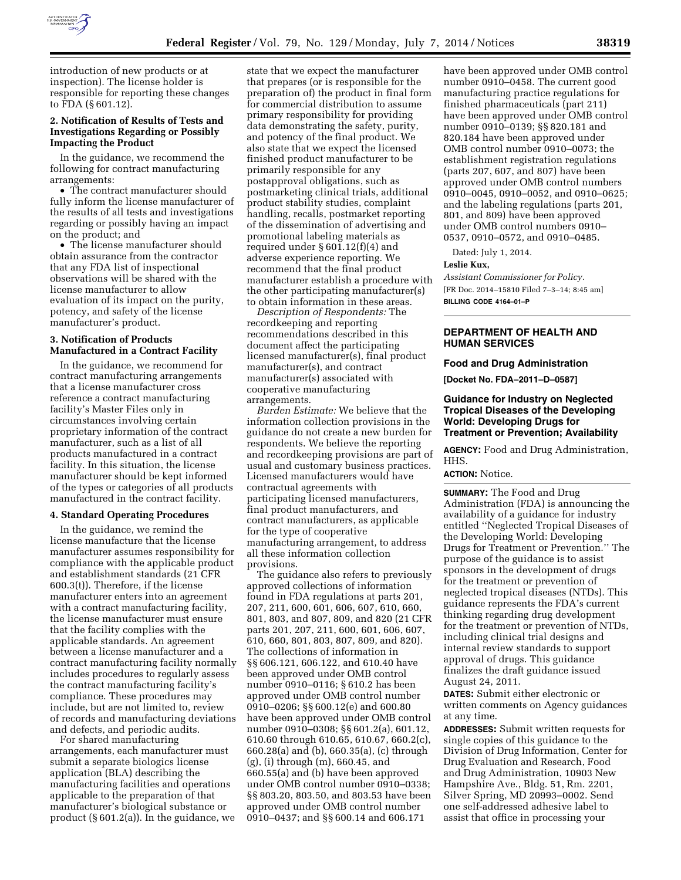

introduction of new products or at inspection). The license holder is responsible for reporting these changes to FDA (§ 601.12).

# **2. Notification of Results of Tests and Investigations Regarding or Possibly Impacting the Product**

In the guidance, we recommend the following for contract manufacturing arrangements:

• The contract manufacturer should fully inform the license manufacturer of the results of all tests and investigations regarding or possibly having an impact on the product; and

• The license manufacturer should obtain assurance from the contractor that any FDA list of inspectional observations will be shared with the license manufacturer to allow evaluation of its impact on the purity, potency, and safety of the license manufacturer's product.

### **3. Notification of Products Manufactured in a Contract Facility**

In the guidance, we recommend for contract manufacturing arrangements that a license manufacturer cross reference a contract manufacturing facility's Master Files only in circumstances involving certain proprietary information of the contract manufacturer, such as a list of all products manufactured in a contract facility. In this situation, the license manufacturer should be kept informed of the types or categories of all products manufactured in the contract facility.

### **4. Standard Operating Procedures**

In the guidance, we remind the license manufacture that the license manufacturer assumes responsibility for compliance with the applicable product and establishment standards (21 CFR 600.3(t)). Therefore, if the license manufacturer enters into an agreement with a contract manufacturing facility, the license manufacturer must ensure that the facility complies with the applicable standards. An agreement between a license manufacturer and a contract manufacturing facility normally includes procedures to regularly assess the contract manufacturing facility's compliance. These procedures may include, but are not limited to, review of records and manufacturing deviations and defects, and periodic audits.

For shared manufacturing arrangements, each manufacturer must submit a separate biologics license application (BLA) describing the manufacturing facilities and operations applicable to the preparation of that manufacturer's biological substance or product (§ 601.2(a)). In the guidance, we state that we expect the manufacturer that prepares (or is responsible for the preparation of) the product in final form for commercial distribution to assume primary responsibility for providing data demonstrating the safety, purity, and potency of the final product. We also state that we expect the licensed finished product manufacturer to be primarily responsible for any postapproval obligations, such as postmarketing clinical trials, additional product stability studies, complaint handling, recalls, postmarket reporting of the dissemination of advertising and promotional labeling materials as required under § 601.12(f)(4) and adverse experience reporting. We recommend that the final product manufacturer establish a procedure with the other participating manufacturer(s) to obtain information in these areas.

*Description of Respondents:* The recordkeeping and reporting recommendations described in this document affect the participating licensed manufacturer(s), final product manufacturer(s), and contract manufacturer(s) associated with cooperative manufacturing arrangements.

*Burden Estimate:* We believe that the information collection provisions in the guidance do not create a new burden for respondents. We believe the reporting and recordkeeping provisions are part of usual and customary business practices. Licensed manufacturers would have contractual agreements with participating licensed manufacturers, final product manufacturers, and contract manufacturers, as applicable for the type of cooperative manufacturing arrangement, to address all these information collection provisions.

The guidance also refers to previously approved collections of information found in FDA regulations at parts 201, 207, 211, 600, 601, 606, 607, 610, 660, 801, 803, and 807, 809, and 820 (21 CFR parts 201, 207, 211, 600, 601, 606, 607, 610, 660, 801, 803, 807, 809, and 820). The collections of information in §§ 606.121, 606.122, and 610.40 have been approved under OMB control number 0910–0116; § 610.2 has been approved under OMB control number 0910–0206; §§ 600.12(e) and 600.80 have been approved under OMB control number 0910–0308; §§ 601.2(a), 601.12, 610.60 through 610.65, 610.67, 660.2(c), 660.28(a) and (b), 660.35(a), (c) through (g), (i) through (m), 660.45, and 660.55(a) and (b) have been approved under OMB control number 0910–0338; §§ 803.20, 803.50, and 803.53 have been approved under OMB control number 0910–0437; and §§ 600.14 and 606.171

have been approved under OMB control number 0910–0458. The current good manufacturing practice regulations for finished pharmaceuticals (part 211) have been approved under OMB control number 0910–0139; §§ 820.181 and 820.184 have been approved under OMB control number 0910–0073; the establishment registration regulations (parts 207, 607, and 807) have been approved under OMB control numbers 0910–0045, 0910–0052, and 0910–0625; and the labeling regulations (parts 201, 801, and 809) have been approved under OMB control numbers 0910– 0537, 0910–0572, and 0910–0485.

Dated: July 1, 2014.

### **Leslie Kux,**

*Assistant Commissioner for Policy.*  [FR Doc. 2014–15810 Filed 7–3–14; 8:45 am] **BILLING CODE 4164–01–P** 

## **DEPARTMENT OF HEALTH AND HUMAN SERVICES**

## **Food and Drug Administration**

**[Docket No. FDA–2011–D–0587]** 

### **Guidance for Industry on Neglected Tropical Diseases of the Developing World: Developing Drugs for Treatment or Prevention; Availability**

**AGENCY:** Food and Drug Administration, HHS.

## **ACTION:** Notice.

**SUMMARY:** The Food and Drug Administration (FDA) is announcing the availability of a guidance for industry entitled ''Neglected Tropical Diseases of the Developing World: Developing Drugs for Treatment or Prevention.'' The purpose of the guidance is to assist sponsors in the development of drugs for the treatment or prevention of neglected tropical diseases (NTDs). This guidance represents the FDA's current thinking regarding drug development for the treatment or prevention of NTDs, including clinical trial designs and internal review standards to support approval of drugs. This guidance finalizes the draft guidance issued August 24, 2011.

**DATES:** Submit either electronic or written comments on Agency guidances at any time.

**ADDRESSES:** Submit written requests for single copies of this guidance to the Division of Drug Information, Center for Drug Evaluation and Research, Food and Drug Administration, 10903 New Hampshire Ave., Bldg. 51, Rm. 2201, Silver Spring, MD 20993–0002. Send one self-addressed adhesive label to assist that office in processing your